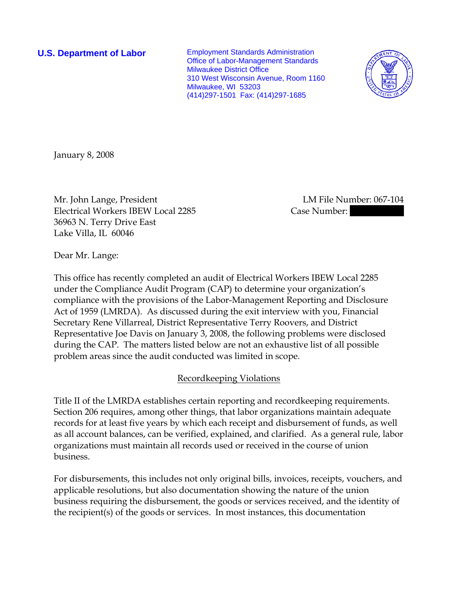**U.S. Department of Labor** Employment Standards Administration Office of Labor-Management Standards Milwaukee District Office 310 West Wisconsin Avenue, Room 1160 Milwaukee, WI 53203 (414)297-1501 Fax: (414)297-1685



January 8, 2008

Mr. John Lange, President LM File Number: 067-104 Electrical Workers IBEW Local 2285 Case Number: 36963 N. Terry Drive East Lake Villa, IL 60046

Dear Mr. Lange:

This office has recently completed an audit of Electrical Workers IBEW Local 2285 under the Compliance Audit Program (CAP) to determine your organization's compliance with the provisions of the Labor-Management Reporting and Disclosure Act of 1959 (LMRDA). As discussed during the exit interview with you, Financial Secretary Rene Villarreal, District Representative Terry Roovers, and District Representative Joe Davis on January 3, 2008, the following problems were disclosed during the CAP. The matters listed below are not an exhaustive list of all possible problem areas since the audit conducted was limited in scope.

# Recordkeeping Violations

Title II of the LMRDA establishes certain reporting and recordkeeping requirements. Section 206 requires, among other things, that labor organizations maintain adequate records for at least five years by which each receipt and disbursement of funds, as well as all account balances, can be verified, explained, and clarified. As a general rule, labor organizations must maintain all records used or received in the course of union business.

For disbursements, this includes not only original bills, invoices, receipts, vouchers, and applicable resolutions, but also documentation showing the nature of the union business requiring the disbursement, the goods or services received, and the identity of the recipient(s) of the goods or services. In most instances, this documentation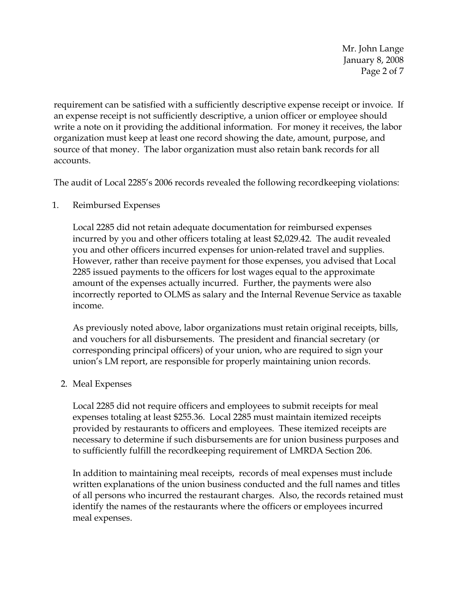Mr. John Lange January 8, 2008 Page 2 of 7

requirement can be satisfied with a sufficiently descriptive expense receipt or invoice. If an expense receipt is not sufficiently descriptive, a union officer or employee should write a note on it providing the additional information. For money it receives, the labor organization must keep at least one record showing the date, amount, purpose, and source of that money. The labor organization must also retain bank records for all accounts.

The audit of Local 2285's 2006 records revealed the following recordkeeping violations:

1. Reimbursed Expenses

Local 2285 did not retain adequate documentation for reimbursed expenses incurred by you and other officers totaling at least \$2,029.42. The audit revealed you and other officers incurred expenses for union-related travel and supplies. However, rather than receive payment for those expenses, you advised that Local 2285 issued payments to the officers for lost wages equal to the approximate amount of the expenses actually incurred. Further, the payments were also incorrectly reported to OLMS as salary and the Internal Revenue Service as taxable income.

As previously noted above, labor organizations must retain original receipts, bills, and vouchers for all disbursements. The president and financial secretary (or corresponding principal officers) of your union, who are required to sign your union's LM report, are responsible for properly maintaining union records.

# 2. Meal Expenses

Local 2285 did not require officers and employees to submit receipts for meal expenses totaling at least \$255.36. Local 2285 must maintain itemized receipts provided by restaurants to officers and employees. These itemized receipts are necessary to determine if such disbursements are for union business purposes and to sufficiently fulfill the recordkeeping requirement of LMRDA Section 206.

In addition to maintaining meal receipts, records of meal expenses must include written explanations of the union business conducted and the full names and titles of all persons who incurred the restaurant charges. Also, the records retained must identify the names of the restaurants where the officers or employees incurred meal expenses.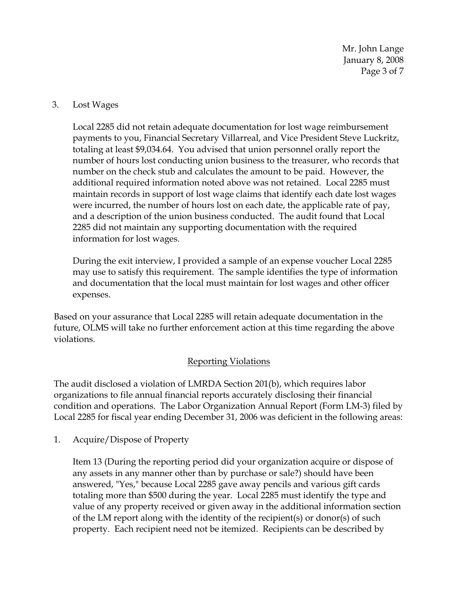Mr. John Lange January 8, 2008 Page 3 of 7

### 3. Lost Wages

Local 2285 did not retain adequate documentation for lost wage reimbursement payments to you, Financial Secretary Villarreal, and Vice President Steve Luckritz, totaling at least \$9,034.64. You advised that union personnel orally report the number of hours lost conducting union business to the treasurer, who records that number on the check stub and calculates the amount to be paid. However, the additional required information noted above was not retained. Local 2285 must maintain records in support of lost wage claims that identify each date lost wages were incurred, the number of hours lost on each date, the applicable rate of pay, and a description of the union business conducted. The audit found that Local 2285 did not maintain any supporting documentation with the required information for lost wages.

During the exit interview, I provided a sample of an expense voucher Local 2285 may use to satisfy this requirement. The sample identifies the type of information and documentation that the local must maintain for lost wages and other officer expenses.

Based on your assurance that Local 2285 will retain adequate documentation in the future, OLMS will take no further enforcement action at this time regarding the above violations.

# Reporting Violations

The audit disclosed a violation of LMRDA Section 201(b), which requires labor organizations to file annual financial reports accurately disclosing their financial condition and operations. The Labor Organization Annual Report (Form LM-3) filed by Local 2285 for fiscal year ending December 31, 2006 was deficient in the following areas:

1. Acquire/Dispose of Property

Item 13 (During the reporting period did your organization acquire or dispose of any assets in any manner other than by purchase or sale?) should have been answered, "Yes," because Local 2285 gave away pencils and various gift cards totaling more than \$500 during the year. Local 2285 must identify the type and value of any property received or given away in the additional information section of the LM report along with the identity of the recipient(s) or donor(s) of such property. Each recipient need not be itemized. Recipients can be described by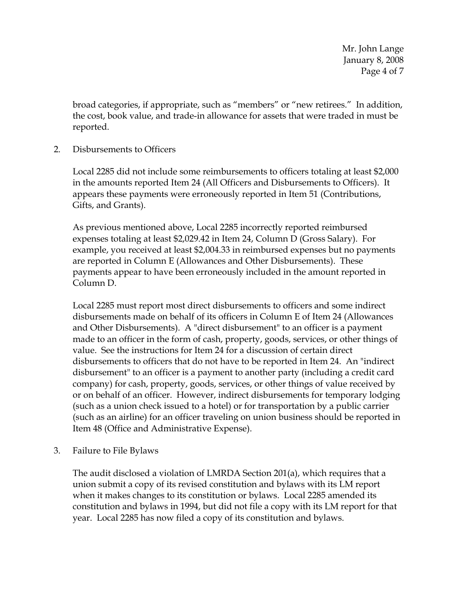Mr. John Lange January 8, 2008 Page 4 of 7

broad categories, if appropriate, such as "members" or "new retirees." In addition, the cost, book value, and trade-in allowance for assets that were traded in must be reported.

2. Disbursements to Officers

Local 2285 did not include some reimbursements to officers totaling at least \$2,000 in the amounts reported Item 24 (All Officers and Disbursements to Officers). It appears these payments were erroneously reported in Item 51 (Contributions, Gifts, and Grants).

As previous mentioned above, Local 2285 incorrectly reported reimbursed expenses totaling at least \$2,029.42 in Item 24, Column D (Gross Salary). For example, you received at least \$2,004.33 in reimbursed expenses but no payments are reported in Column E (Allowances and Other Disbursements). These payments appear to have been erroneously included in the amount reported in Column D.

Local 2285 must report most direct disbursements to officers and some indirect disbursements made on behalf of its officers in Column E of Item 24 (Allowances and Other Disbursements). A "direct disbursement" to an officer is a payment made to an officer in the form of cash, property, goods, services, or other things of value. See the instructions for Item 24 for a discussion of certain direct disbursements to officers that do not have to be reported in Item 24. An "indirect disbursement" to an officer is a payment to another party (including a credit card company) for cash, property, goods, services, or other things of value received by or on behalf of an officer. However, indirect disbursements for temporary lodging (such as a union check issued to a hotel) or for transportation by a public carrier (such as an airline) for an officer traveling on union business should be reported in Item 48 (Office and Administrative Expense).

3. Failure to File Bylaws

The audit disclosed a violation of LMRDA Section 201(a), which requires that a union submit a copy of its revised constitution and bylaws with its LM report when it makes changes to its constitution or bylaws. Local 2285 amended its constitution and bylaws in 1994, but did not file a copy with its LM report for that year. Local 2285 has now filed a copy of its constitution and bylaws.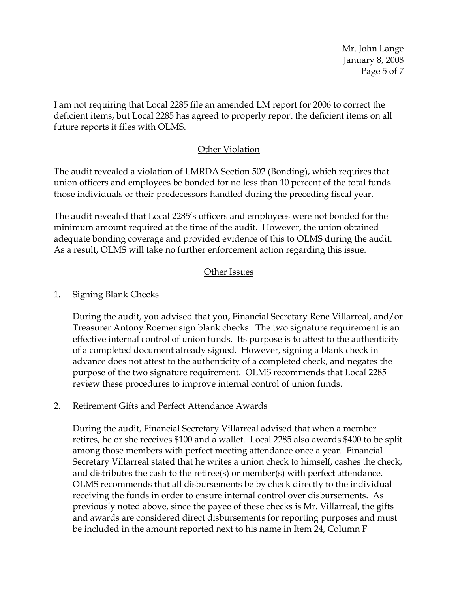Mr. John Lange January 8, 2008 Page 5 of 7

I am not requiring that Local 2285 file an amended LM report for 2006 to correct the deficient items, but Local 2285 has agreed to properly report the deficient items on all future reports it files with OLMS.

### Other Violation

The audit revealed a violation of LMRDA Section 502 (Bonding), which requires that union officers and employees be bonded for no less than 10 percent of the total funds those individuals or their predecessors handled during the preceding fiscal year.

The audit revealed that Local 2285's officers and employees were not bonded for the minimum amount required at the time of the audit. However, the union obtained adequate bonding coverage and provided evidence of this to OLMS during the audit. As a result, OLMS will take no further enforcement action regarding this issue.

# Other Issues

1. Signing Blank Checks

During the audit, you advised that you, Financial Secretary Rene Villarreal, and/or Treasurer Antony Roemer sign blank checks. The two signature requirement is an effective internal control of union funds. Its purpose is to attest to the authenticity of a completed document already signed. However, signing a blank check in advance does not attest to the authenticity of a completed check, and negates the purpose of the two signature requirement. OLMS recommends that Local 2285 review these procedures to improve internal control of union funds.

2. Retirement Gifts and Perfect Attendance Awards

During the audit, Financial Secretary Villarreal advised that when a member retires, he or she receives \$100 and a wallet. Local 2285 also awards \$400 to be split among those members with perfect meeting attendance once a year. Financial Secretary Villarreal stated that he writes a union check to himself, cashes the check, and distributes the cash to the retiree(s) or member(s) with perfect attendance. OLMS recommends that all disbursements be by check directly to the individual receiving the funds in order to ensure internal control over disbursements. As previously noted above, since the payee of these checks is Mr. Villarreal, the gifts and awards are considered direct disbursements for reporting purposes and must be included in the amount reported next to his name in Item 24, Column F